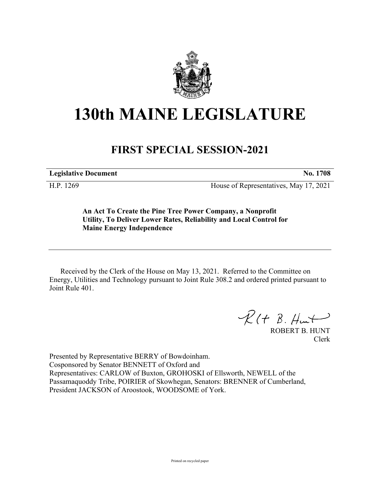

## **130th MAINE LEGISLATURE**

## **FIRST SPECIAL SESSION-2021**

**Legislative Document No. 1708**

H.P. 1269 House of Representatives, May 17, 2021

**An Act To Create the Pine Tree Power Company, a Nonprofit Utility, To Deliver Lower Rates, Reliability and Local Control for Maine Energy Independence**

Received by the Clerk of the House on May 13, 2021. Referred to the Committee on Energy, Utilities and Technology pursuant to Joint Rule 308.2 and ordered printed pursuant to Joint Rule 401.

 $R$ (†  $B.$  Hunt

ROBERT B. HUNT Clerk

Presented by Representative BERRY of Bowdoinham. Cosponsored by Senator BENNETT of Oxford and Representatives: CARLOW of Buxton, GROHOSKI of Ellsworth, NEWELL of the Passamaquoddy Tribe, POIRIER of Skowhegan, Senators: BRENNER of Cumberland, President JACKSON of Aroostook, WOODSOME of York.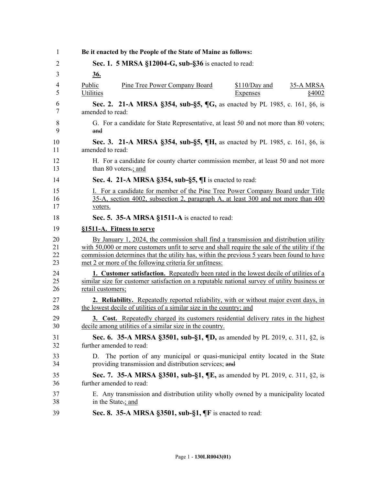| 1        | Be it enacted by the People of the State of Maine as follows:                                                                              |
|----------|--------------------------------------------------------------------------------------------------------------------------------------------|
| 2        | Sec. 1. 5 MRSA §12004-G, sub-§36 is enacted to read:                                                                                       |
| 3        | <u>36.</u>                                                                                                                                 |
| 4<br>5   | Public<br><b>Pine Tree Power Company Board</b><br>$$110/Day$ and<br><b>35-A MRSA</b><br>Utilities<br>§4002<br>Expenses                     |
| 6        | Sec. 2. 21-A MRSA §354, sub-§5, ¶G, as enacted by PL 1985, c. 161, §6, is                                                                  |
| 7        | amended to read:                                                                                                                           |
| 8        | G. For a candidate for State Representative, at least 50 and not more than 80 voters;                                                      |
| 9        | and                                                                                                                                        |
| 10       | <b>Sec. 3. 21-A MRSA §354, sub-§5, ¶H, as enacted by PL 1985, c. 161, §6, is</b>                                                           |
| 11       | amended to read:                                                                                                                           |
| 12       | H. For a candidate for county charter commission member, at least 50 and not more                                                          |
| 13       | than 80 voters-; and                                                                                                                       |
| 14       | Sec. 4. 21-A MRSA §354, sub-§5, ¶I is enacted to read:                                                                                     |
| 15       | I. For a candidate for member of the Pine Tree Power Company Board under Title                                                             |
| 16       | 35-A, section 4002, subsection 2, paragraph A, at least 300 and not more than 400                                                          |
| 17       | voters.                                                                                                                                    |
| 18       | Sec. 5. 35-A MRSA §1511-A is enacted to read:                                                                                              |
| 19       | §1511-A. Fitness to serve                                                                                                                  |
| 20       | By January 1, 2024, the commission shall find a transmission and distribution utility                                                      |
| 21       | with 50,000 or more customers unfit to serve and shall require the sale of the utility if the                                              |
| 22       | commission determines that the utility has, within the previous 5 years been found to have                                                 |
| 23       | met 2 or more of the following criteria for unfitness:                                                                                     |
| 24       | <b>1. Customer satisfaction.</b> Repeatedly been rated in the lowest decile of utilities of a                                              |
| 25       | similar size for customer satisfaction on a reputable national survey of utility business or                                               |
| 26       | retail customers;                                                                                                                          |
| 27       | <b>2. Reliability.</b> Repeatedly reported reliability, with or without major event days, in                                               |
| 28       | the lowest decile of utilities of a similar size in the country; and                                                                       |
| 29       | <b>3. Cost.</b> Repeatedly charged its customers residential delivery rates in the highest                                                 |
| 30       | decile among utilities of a similar size in the country.                                                                                   |
| 31       | <b>Sec. 6.</b> 35-A MRSA §3501, sub-§1, $\P$ D, as amended by PL 2019, c. 311, §2, is                                                      |
| 32       | further amended to read:                                                                                                                   |
| 33<br>34 | The portion of any municipal or quasi-municipal entity located in the State<br>D.<br>providing transmission and distribution services; and |
| 35       | Sec. 7. 35-A MRSA §3501, sub-§1, ¶E, as amended by PL 2019, c. 311, §2, is                                                                 |
| 36       | further amended to read:                                                                                                                   |
| 37       | E. Any transmission and distribution utility wholly owned by a municipality located                                                        |
| 38       | in the State-; and                                                                                                                         |
| 39       | Sec. 8. 35-A MRSA §3501, sub-§1, $\P$ F is enacted to read:                                                                                |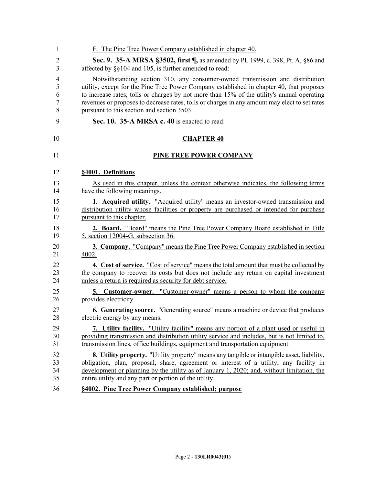| 1              | F. The Pine Tree Power Company established in chapter 40.                                     |
|----------------|-----------------------------------------------------------------------------------------------|
| $\overline{2}$ | Sec. 9. 35-A MRSA §3502, first ¶, as amended by PL 1999, c. 398, Pt. A, §86 and               |
| 3              | affected by §§104 and 105, is further amended to read:                                        |
| 4              | Notwithstanding section 310, any consumer-owned transmission and distribution                 |
| 5              | utility, except for the Pine Tree Power Company established in chapter 40, that proposes      |
| 6              | to increase rates, tolls or charges by not more than 15% of the utility's annual operating    |
| 7              | revenues or proposes to decrease rates, tolls or charges in any amount may elect to set rates |
| 8              | pursuant to this section and section 3503.                                                    |
| 9              | Sec. 10. 35-A MRSA c. 40 is enacted to read:                                                  |
| 10             | <b>CHAPTER 40</b>                                                                             |
| 11             | <b>PINE TREE POWER COMPANY</b>                                                                |
| 12             | §4001. Definitions                                                                            |
| 13             | As used in this chapter, unless the context otherwise indicates, the following terms          |
| 14             | have the following meanings.                                                                  |
| 15             | <b>1. Acquired utility.</b> "Acquired utility" means an investor-owned transmission and       |
| 16             | distribution utility whose facilities or property are purchased or intended for purchase      |
| 17             | pursuant to this chapter.                                                                     |
| 18             | 2. Board. "Board" means the Pine Tree Power Company Board established in Title                |
| 19             | 5, section 12004-G, subsection 36.                                                            |
| 20             | <b>3. Company.</b> "Company" means the Pine Tree Power Company established in section         |
| 21             | 4002.                                                                                         |
| 22             | <b>4. Cost of service.</b> "Cost of service" means the total amount that must be collected by |
| 23             | the company to recover its costs but does not include any return on capital investment        |
| 24             | unless a return is required as security for debt service.                                     |
| 25             | <b>5. Customer-owner.</b> "Customer-owner" means a person to whom the company                 |
| 26             | provides electricity.                                                                         |
| 27             | <b>6. Generating source.</b> "Generating source" means a machine or device that produces      |
| 28             | electric energy by any means.                                                                 |
| 29             | 7. Utility facility. "Utility facility" means any portion of a plant used or useful in        |
| 30             | providing transmission and distribution utility service and includes, but is not limited to,  |
| 31             | transmission lines, office buildings, equipment and transportation equipment.                 |
| 32             | 8. Utility property. "Utility property" means any tangible or intangible asset, liability,    |
| 33             | obligation, plan, proposal, share, agreement or interest of a utility; any facility in        |
| 34             | development or planning by the utility as of January 1, 2020; and, without limitation, the    |
| 35             | entire utility and any part or portion of the utility.                                        |
| 36             | §4002. Pine Tree Power Company established; purpose                                           |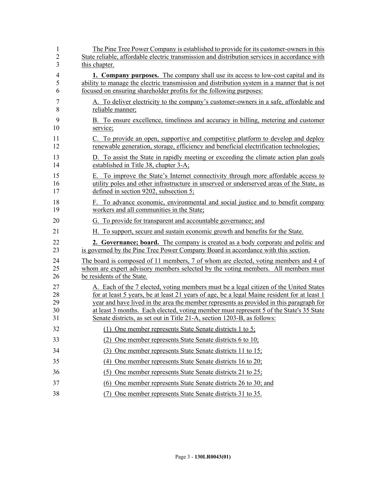| $\mathbf{1}$   | The Pine Tree Power Company is established to provide for its customer-owners in this         |
|----------------|-----------------------------------------------------------------------------------------------|
| $\overline{2}$ | State reliable, affordable electric transmission and distribution services in accordance with |
| 3              | this chapter.                                                                                 |
| $\overline{4}$ | <b>1. Company purposes.</b> The company shall use its access to low-cost capital and its      |
| 5              | ability to manage the electric transmission and distribution system in a manner that is not   |
| 6              | focused on ensuring shareholder profits for the following purposes:                           |
| 7              | A. To deliver electricity to the company's customer-owners in a safe, affordable and          |
| 8              | reliable manner;                                                                              |
| 9              | B. To ensure excellence, timeliness and accuracy in billing, metering and customer            |
| 10             | service;                                                                                      |
| 11             | C. To provide an open, supportive and competitive platform to develop and deploy              |
| 12             | renewable generation, storage, efficiency and beneficial electrification technologies;        |
| 13             | D. To assist the State in rapidly meeting or exceeding the climate action plan goals          |
| 14             | established in Title 38, chapter 3-A;                                                         |
| 15             | E. To improve the State's Internet connectivity through more affordable access to             |
| 16             | utility poles and other infrastructure in unserved or underserved areas of the State, as      |
| 17             | defined in section 9202, subsection 5;                                                        |
| 18             | F. To advance economic, environmental and social justice and to benefit company               |
| 19             | workers and all communities in the State;                                                     |
| 20             | G. To provide for transparent and accountable governance; and                                 |
| 21             | H. To support, secure and sustain economic growth and benefits for the State.                 |
| 22             | <b>2. Governance; board.</b> The company is created as a body corporate and politic and       |
| 23             | is governed by the Pine Tree Power Company Board in accordance with this section.             |
| 24             | The board is composed of 11 members, 7 of whom are elected, voting members and 4 of           |
| 25             | whom are expert advisory members selected by the voting members. All members must             |
| 26             | be residents of the State.                                                                    |
| 27             | A. Each of the 7 elected, voting members must be a legal citizen of the United States         |
| 28             | for at least 5 years, be at least 21 years of age, be a legal Maine resident for at least 1   |
| 29             | year and have lived in the area the member represents as provided in this paragraph for       |
| 30             | at least 3 months. Each elected, voting member must represent 5 of the State's 35 State       |
| 31             | Senate districts, as set out in Title 21-A, section 1203-B, as follows:                       |
| 32             | One member represents State Senate districts 1 to 5;<br>(1)                                   |
| 33             | (2) One member represents State Senate districts 6 to 10;                                     |
| 34             | One member represents State Senate districts 11 to 15;<br>(3)                                 |
| 35             | (4) One member represents State Senate districts 16 to 20;                                    |
| 36             | One member represents State Senate districts 21 to 25;<br>(5)                                 |
| 37             | (6) One member represents State Senate districts 26 to 30; and                                |
| 38             | One member represents State Senate districts 31 to 35.<br>(7)                                 |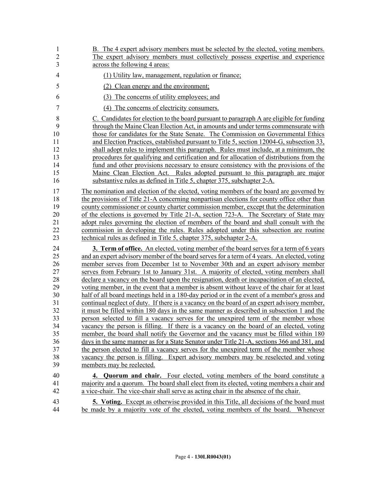| 1              | B. The 4 expert advisory members must be selected by the elected, voting members.             |
|----------------|-----------------------------------------------------------------------------------------------|
| $\overline{c}$ | The expert advisory members must collectively possess expertise and experience                |
| 3              | across the following 4 areas:                                                                 |
| $\overline{4}$ | (1) Utility law, management, regulation or finance;                                           |
| 5              | (2) Clean energy and the environment;                                                         |
| 6              | (3) The concerns of utility employees; and                                                    |
| $\overline{7}$ | (4) The concerns of electricity consumers.                                                    |
| 8              | C. Candidates for election to the board pursuant to paragraph A are eligible for funding      |
| 9              | through the Maine Clean Election Act, in amounts and under terms commensurate with            |
| 10             | those for candidates for the State Senate. The Commission on Governmental Ethics              |
| 11             | and Election Practices, established pursuant to Title 5, section 12004-G, subsection 33,      |
| 12             | shall adopt rules to implement this paragraph. Rules must include, at a minimum, the          |
| 13             | procedures for qualifying and certification and for allocation of distributions from the      |
| 14             | fund and other provisions necessary to ensure consistency with the provisions of the          |
| 15             | Maine Clean Election Act. Rules adopted pursuant to this paragraph are major                  |
| 16             | substantive rules as defined in Title 5, chapter 375, subchapter 2-A.                         |
| 17             | The nomination and election of the elected, voting members of the board are governed by       |
| 18             | the provisions of Title 21-A concerning nonpartisan elections for county office other than    |
| 19             | county commissioner or county charter commission member, except that the determination        |
| 20             | of the elections is governed by Title 21-A, section 723-A. The Secretary of State may         |
| 21             | adopt rules governing the election of members of the board and shall consult with the         |
| 22             | commission in developing the rules. Rules adopted under this subsection are routine           |
| 23             | technical rules as defined in Title 5, chapter 375, subchapter 2-A.                           |
| 24             | <b>3. Term of office.</b> An elected, voting member of the board serves for a term of 6 years |
| 25             | and an expert advisory member of the board serves for a term of 4 years. An elected, voting   |
| 26             | member serves from December 1st to November 30th and an expert advisory member                |
| 27             | serves from February 1st to January 31st. A majority of elected, voting members shall         |
| 28             | declare a vacancy on the board upon the resignation, death or incapacitation of an elected,   |
| 29             | voting member, in the event that a member is absent without leave of the chair for at least   |
| 30             | half of all board meetings held in a 180-day period or in the event of a member's gross and   |
| 31             | continual neglect of duty. If there is a vacancy on the board of an expert advisory member,   |
| 32             | it must be filled within 180 days in the same manner as described in subsection 1 and the     |
| 33             | person selected to fill a vacancy serves for the unexpired term of the member whose           |
| 34             | vacancy the person is filling. If there is a vacancy on the board of an elected, voting       |
| 35             | member, the board shall notify the Governor and the vacancy must be filled within 180         |
| 36             | days in the same manner as for a State Senator under Title 21-A, sections 366 and 381, and    |
| 37             | the person elected to fill a vacancy serves for the unexpired term of the member whose        |
| 38             | vacancy the person is filling. Expert advisory members may be reselected and voting           |
| 39             | members may be reelected.                                                                     |
| 40             | <b>4. Quorum and chair.</b> Four elected, voting members of the board constitute a            |
| 41             | majority and a quorum. The board shall elect from its elected, voting members a chair and     |
| 42             | a vice-chair. The vice-chair shall serve as acting chair in the absence of the chair.         |
| 43             | <b>5.</b> Voting. Except as otherwise provided in this Title, all decisions of the board must |
| 44             | be made by a majority vote of the elected, voting members of the board. Whenever              |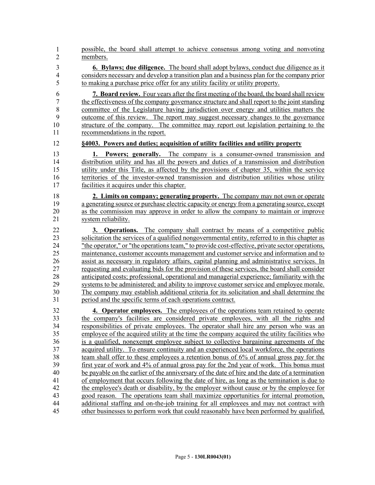- 45 possible, the board shall attempt to achieve consensus among voting and nonvoting members. 1 2
- 3 **6. Bylaws; due diligence.** The board shall adopt bylaws, conduct due diligence as it 4 considers necessary and develop a transition plan and a business plan for the company prior 5 to making a purchase price offer for any utility facility or utility property.

6 **7. Board review.** Four years after the first meeting of the board, the board shall review 7 the effectiveness of the company governance structure and shall report to the joint standing 8 committee of the Legislature having jurisdiction over energy and utilities matters the 9 outcome of this review. The report may suggest necessary changes to the governance 10 structure of the company. The committee may report out legislation pertaining to the 11 recommendations in the report.

12 **§4003. Powers and duties; acquisition of utility facilities and utility property**

13 **1. Powers; generally.** The company is a consumer-owned transmission and 14 distribution utility and has all the powers and duties of a transmission and distribution 15 utility under this Title, as affected by the provisions of chapter 35, within the service 16 territories of the investor-owned transmission and distribution utilities whose utility 17 facilities it acquires under this chapter.

18 **2. Limits on company; generating property.** The company may not own or operate 19 a generating source or purchase electric capacity or energy from a generating source, except 20 as the commission may approve in order to allow the company to maintain or improve 21 system reliability.

22 **3. Operations.** The company shall contract by means of a competitive public 23 solicitation the services of a qualified nongovernmental entity, referred to in this chapter as 24 "the operator," or "the operations team," to provide cost-effective, private sector operations, 25 maintenance, customer accounts management and customer service and information and to 26 assist as necessary in regulatory affairs, capital planning and administrative services. In 27 requesting and evaluating bids for the provision of these services, the board shall consider 28 anticipated costs; professional, operational and managerial experience; familiarity with the 29 systems to be administered; and ability to improve customer service and employee morale. 30 The company may establish additional criteria for its solicitation and shall determine the 31 period and the specific terms of each operations contract.

32 **4. Operator employees.** The employees of the operations team retained to operate 33 the company's facilities are considered private employees, with all the rights and 34 responsibilities of private employees. The operator shall hire any person who was an 35 employee of the acquired utility at the time the company acquired the utility facilities who 36 is a qualified, nonexempt employee subject to collective bargaining agreements of the 37 acquired utility. To ensure continuity and an experienced local workforce, the operations 38 team shall offer to these employees a retention bonus of 6% of annual gross pay for the 39 first year of work and 4% of annual gross pay for the 2nd year of work. This bonus must 40 be payable on the earlier of the anniversary of the date of hire and the date of a termination 41 of employment that occurs following the date of hire, as long as the termination is due to 42 the employee's death or disability, by the employer without cause or by the employee for 43 good reason. The operations team shall maximize opportunities for internal promotion, 44 additional staffing and on-the-job training for all employees and may not contract with 45 other businesses to perform work that could reasonably have been performed by qualified,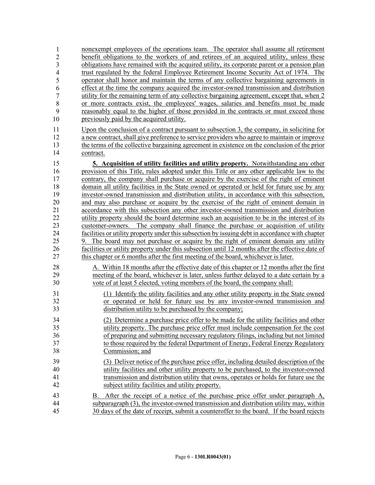| $\mathbf{1}$   | nonexempt employees of the operations team. The operator shall assume all retirement                                                                                                                                                                                     |
|----------------|--------------------------------------------------------------------------------------------------------------------------------------------------------------------------------------------------------------------------------------------------------------------------|
| $\overline{2}$ | benefit obligations to the workers of and retirees of an acquired utility, unless these                                                                                                                                                                                  |
| 3              | obligations have remained with the acquired utility, its corporate parent or a pension plan                                                                                                                                                                              |
| $\overline{4}$ | trust regulated by the federal Employee Retirement Income Security Act of 1974. The                                                                                                                                                                                      |
| 5              | operator shall honor and maintain the terms of any collective bargaining agreements in                                                                                                                                                                                   |
| 6              | effect at the time the company acquired the investor-owned transmission and distribution                                                                                                                                                                                 |
| $\overline{7}$ | utility for the remaining term of any collective bargaining agreement, except that, when 2                                                                                                                                                                               |
| 8              | or more contracts exist, the employees' wages, salaries and benefits must be made                                                                                                                                                                                        |
| 9              | reasonably equal to the higher of those provided in the contracts or must exceed those                                                                                                                                                                                   |
| 10             | previously paid by the acquired utility.                                                                                                                                                                                                                                 |
| 11             | Upon the conclusion of a contract pursuant to subsection 3, the company, in soliciting for                                                                                                                                                                               |
| 12             | a new contract, shall give preference to service providers who agree to maintain or improve                                                                                                                                                                              |
| 13             | the terms of the collective bargaining agreement in existence on the conclusion of the prior                                                                                                                                                                             |
| 14             | contract.                                                                                                                                                                                                                                                                |
| 15             | 5. Acquisition of utility facilities and utility property. Notwithstanding any other                                                                                                                                                                                     |
| 16             | provision of this Title, rules adopted under this Title or any other applicable law to the                                                                                                                                                                               |
| 17             | contrary, the company shall purchase or acquire by the exercise of the right of eminent                                                                                                                                                                                  |
| 18             | domain all utility facilities in the State owned or operated or held for future use by any                                                                                                                                                                               |
| 19             | investor-owned transmission and distribution utility, in accordance with this subsection,                                                                                                                                                                                |
| 20             | and may also purchase or acquire by the exercise of the right of eminent domain in                                                                                                                                                                                       |
| 21             | accordance with this subsection any other investor-owned transmission and distribution                                                                                                                                                                                   |
| 22             | utility property should the board determine such an acquisition to be in the interest of its                                                                                                                                                                             |
| 23             | customer-owners. The company shall finance the purchase or acquisition of utility                                                                                                                                                                                        |
| 24             | facilities or utility property under this subsection by issuing debt in accordance with chapter                                                                                                                                                                          |
| 25             | 9. The board may not purchase or acquire by the right of eminent domain any utility                                                                                                                                                                                      |
| 26             | facilities or utility property under this subsection until 12 months after the effective date of                                                                                                                                                                         |
| 27             | this chapter or 6 months after the first meeting of the board, whichever is later.                                                                                                                                                                                       |
| 28             | A. Within 18 months after the effective date of this chapter or 12 months after the first                                                                                                                                                                                |
| 29             | meeting of the board, whichever is later, unless further delayed to a date certain by a                                                                                                                                                                                  |
| 30             | vote of at least 5 elected, voting members of the board, the company shall:                                                                                                                                                                                              |
| 31             | (1) Identify the utility facilities and any other utility property in the State owned                                                                                                                                                                                    |
| 32             | or operated or held for future use by any investor-owned transmission and                                                                                                                                                                                                |
| 33             | distribution utility to be purchased by the company;                                                                                                                                                                                                                     |
| 34             | (2) Determine a purchase price offer to be made for the utility facilities and other                                                                                                                                                                                     |
| 35             | utility property. The purchase price offer must include compensation for the cost                                                                                                                                                                                        |
| 36             | of preparing and submitting necessary regulatory filings, including but not limited                                                                                                                                                                                      |
| 37             | to those required by the federal Department of Energy, Federal Energy Regulatory                                                                                                                                                                                         |
| 38             | Commission; and                                                                                                                                                                                                                                                          |
| 39             | (3) Deliver notice of the purchase price offer, including detailed description of the                                                                                                                                                                                    |
| 40             | utility facilities and other utility property to be purchased, to the investor-owned                                                                                                                                                                                     |
| 41             | transmission and distribution utility that owns, operates or holds for future use the                                                                                                                                                                                    |
| 42             | subject utility facilities and utility property.                                                                                                                                                                                                                         |
| 43<br>44<br>45 | After the receipt of a notice of the purchase price offer under paragraph A,<br>В.<br>subparagraph (3), the investor-owned transmission and distribution utility may, within<br>30 days of the date of receipt, submit a counteroffer to the board. If the board rejects |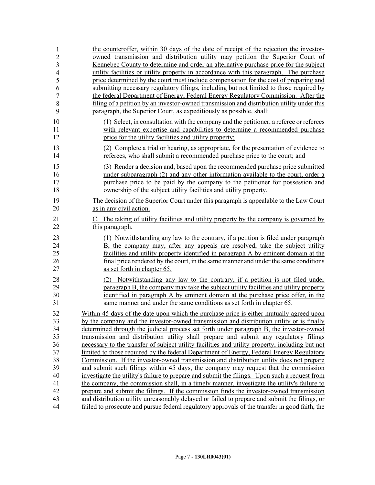| 1<br>$\overline{c}$      | the counteroffer, within 30 days of the date of receipt of the rejection the investor-<br>owned transmission and distribution utility may petition the Superior Court of     |
|--------------------------|------------------------------------------------------------------------------------------------------------------------------------------------------------------------------|
| 3                        | Kennebec County to determine and order an alternative purchase price for the subject                                                                                         |
| $\overline{\mathcal{A}}$ | utility facilities or utility property in accordance with this paragraph. The purchase                                                                                       |
| 5                        | price determined by the court must include compensation for the cost of preparing and                                                                                        |
| 6<br>$\boldsymbol{7}$    | submitting necessary regulatory filings, including but not limited to those required by<br>the federal Department of Energy, Federal Energy Regulatory Commission. After the |
| 8                        | filing of a petition by an investor-owned transmission and distribution utility under this                                                                                   |
| 9                        | paragraph, the Superior Court, as expeditiously as possible, shall:                                                                                                          |
| 10                       | (1) Select, in consultation with the company and the petitioner, a referee or referees                                                                                       |
| 11<br>12                 | with relevant expertise and capabilities to determine a recommended purchase<br>price for the utility facilities and utility property;                                       |
| 13<br>14                 | (2) Complete a trial or hearing, as appropriate, for the presentation of evidence to<br>referees, who shall submit a recommended purchase price to the court; and            |
| 15                       | (3) Render a decision and, based upon the recommended purchase price submitted                                                                                               |
| 16                       | under subparagraph (2) and any other information available to the court, order a                                                                                             |
| 17                       | purchase price to be paid by the company to the petitioner for possession and                                                                                                |
| 18                       | ownership of the subject utility facilities and utility property.                                                                                                            |
| 19<br>20                 | The decision of the Superior Court under this paragraph is appealable to the Law Court<br>as in any civil action.                                                            |
| 21                       | C. The taking of utility facilities and utility property by the company is governed by                                                                                       |
| 22                       | this paragraph.                                                                                                                                                              |
| 23                       | (1) Notwithstanding any law to the contrary, if a petition is filed under paragraph                                                                                          |
| 24                       | B, the company may, after any appeals are resolved, take the subject utility                                                                                                 |
| 25                       | facilities and utility property identified in paragraph A by eminent domain at the                                                                                           |
| 26                       | final price rendered by the court, in the same manner and under the same conditions                                                                                          |
| 27                       | as set forth in chapter 65.                                                                                                                                                  |
| 28                       | (2) Notwithstanding any law to the contrary, if a petition is not filed under                                                                                                |
| 29                       | paragraph B, the company may take the subject utility facilities and utility property                                                                                        |
| 30                       | identified in paragraph A by eminent domain at the purchase price offer, in the                                                                                              |
| 31                       | same manner and under the same conditions as set forth in chapter 65.                                                                                                        |
| 32                       | Within 45 days of the date upon which the purchase price is either mutually agreed upon                                                                                      |
| 33                       | by the company and the investor-owned transmission and distribution utility or is finally                                                                                    |
| 34                       | determined through the judicial process set forth under paragraph B, the investor-owned                                                                                      |
| 35                       | transmission and distribution utility shall prepare and submit any regulatory filings                                                                                        |
| 36                       | necessary to the transfer of subject utility facilities and utility property, including but not                                                                              |
| 37                       | limited to those required by the federal Department of Energy, Federal Energy Regulatory                                                                                     |
| 38                       | Commission. If the investor-owned transmission and distribution utility does not prepare                                                                                     |
| 39                       | and submit such filings within 45 days, the company may request that the commission                                                                                          |
| 40                       | investigate the utility's failure to prepare and submit the filings. Upon such a request from                                                                                |
| 41                       | the company, the commission shall, in a timely manner, investigate the utility's failure to                                                                                  |
| 42                       | prepare and submit the filings. If the commission finds the investor-owned transmission                                                                                      |
| 43                       | and distribution utility unreasonably delayed or failed to prepare and submit the filings, or                                                                                |
| 44                       | failed to prosecute and pursue federal regulatory approvals of the transfer in good faith, the                                                                               |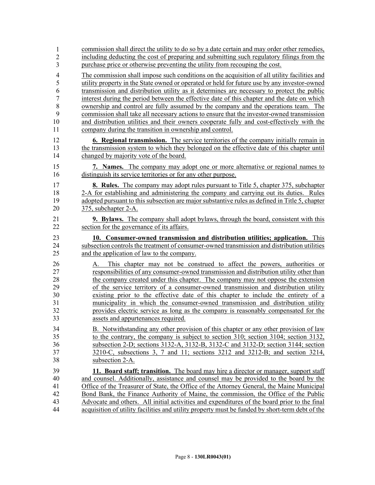| $\mathbf{1}$   | commission shall direct the utility to do so by a date certain and may order other remedies,   |
|----------------|------------------------------------------------------------------------------------------------|
| $\overline{2}$ | including deducting the cost of preparing and submitting such regulatory filings from the      |
| 3              | purchase price or otherwise preventing the utility from recouping the cost.                    |
| $\overline{4}$ | The commission shall impose such conditions on the acquisition of all utility facilities and   |
| 5              | utility property in the State owned or operated or held for future use by any investor-owned   |
| 6              | transmission and distribution utility as it determines are necessary to protect the public     |
| $\overline{7}$ | interest during the period between the effective date of this chapter and the date on which    |
| 8              | ownership and control are fully assumed by the company and the operations team. The            |
| 9              | commission shall take all necessary actions to ensure that the investor-owned transmission     |
| 10             | and distribution utilities and their owners cooperate fully and cost-effectively with the      |
| 11             | company during the transition in ownership and control.                                        |
| 12             | <b>6. Regional transmission.</b> The service territories of the company initially remain in    |
| 13             | the transmission system to which they belonged on the effective date of this chapter until     |
| 14             | changed by majority vote of the board.                                                         |
| 15             | 7. Names. The company may adopt one or more alternative or regional names to                   |
| 16             | distinguish its service territories or for any other purpose.                                  |
| 17             | <b>8. Rules.</b> The company may adopt rules pursuant to Title 5, chapter 375, subchapter      |
| 18             | 2-A for establishing and administering the company and carrying out its duties. Rules          |
| 19             | adopted pursuant to this subsection are major substantive rules as defined in Title 5, chapter |
| 20             | 375, subchapter 2-A.                                                                           |
| 21             | <b>9. Bylaws.</b> The company shall adopt bylaws, through the board, consistent with this      |
| 22             | section for the governance of its affairs.                                                     |
|                |                                                                                                |
| 23             | 10. Consumer-owned transmission and distribution utilities; application. This                  |
| 24             | subsection controls the treatment of consumer-owned transmission and distribution utilities    |
| 25             | and the application of law to the company.                                                     |
| 26             | This chapter may not be construed to affect the powers, authorities or                         |
| 27             | responsibilities of any consumer-owned transmission and distribution utility other than        |
| 28             | the company created under this chapter. The company may not oppose the extension               |
| 29             | of the service territory of a consumer-owned transmission and distribution utility             |
| 30             | existing prior to the effective date of this chapter to include the entirety of a              |
| 31             | municipality in which the consumer-owned transmission and distribution utility                 |
| 32             | provides electric service as long as the company is reasonably compensated for the             |
| 33             | assets and appurtenances required.                                                             |
| 34             | B. Notwithstanding any other provision of this chapter or any other provision of law           |
| 35             | to the contrary, the company is subject to section 310; section 3104; section 3132,            |
| 36             | subsection 2-D; sections 3132-A, 3132-B, 3132-C and 3132-D; section 3144; section              |
| 37             | $3210$ -C, subsections 3, 7 and 11; sections $3212$ and $3212$ -B; and section $3214$ ,        |
| 38             | subsection 2-A.                                                                                |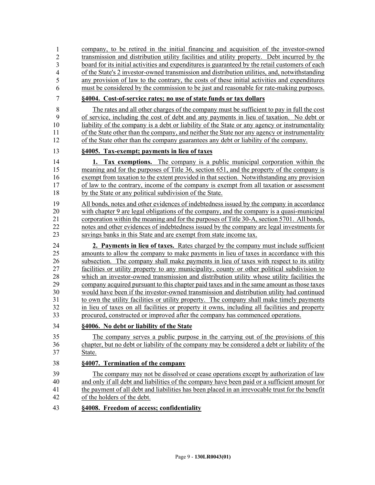| 1                       | company, to be retired in the initial financing and acquisition of the investor-owned           |
|-------------------------|-------------------------------------------------------------------------------------------------|
| $\overline{2}$          | transmission and distribution utility facilities and utility property. Debt incurred by the     |
| $\overline{\mathbf{3}}$ | board for its initial activities and expenditures is guaranteed by the retail customers of each |
| $\overline{4}$          | of the State's 2 investor-owned transmission and distribution utilities, and, notwithstanding   |
| 5                       | any provision of law to the contrary, the costs of these initial activities and expenditures    |
| 6                       | must be considered by the commission to be just and reasonable for rate-making purposes.        |
| 7                       | §4004. Cost-of-service rates; no use of state funds or tax dollars                              |
| 8                       | The rates and all other charges of the company must be sufficient to pay in full the cost       |
| 9                       | of service, including the cost of debt and any payments in lieu of taxation. No debt or         |
| 10                      | liability of the company is a debt or liability of the State or any agency or instrumentality   |
| 11                      | of the State other than the company, and neither the State nor any agency or instrumentality    |
| 12                      | of the State other than the company guarantees any debt or liability of the company.            |
| 13                      | §4005. Tax-exempt; payments in lieu of taxes                                                    |
| 14                      | <b>1. Tax exemptions.</b> The company is a public municipal corporation within the              |
| 15                      | meaning and for the purposes of Title 36, section 651, and the property of the company is       |
| 16                      | exempt from taxation to the extent provided in that section. Notwithstanding any provision      |
| 17                      | of law to the contrary, income of the company is exempt from all taxation or assessment         |
| 18                      | by the State or any political subdivision of the State.                                         |
| 19                      | All bonds, notes and other evidences of indebtedness issued by the company in accordance        |
| 20                      | with chapter 9 are legal obligations of the company, and the company is a quasi-municipal       |
| 21                      | corporation within the meaning and for the purposes of Title 30-A, section 5701. All bonds,     |
| 22                      | notes and other evidences of indebtedness issued by the company are legal investments for       |
| 23                      | savings banks in this State and are exempt from state income tax.                               |
| 24                      | 2. Payments in lieu of taxes. Rates charged by the company must include sufficient              |
| 25                      | amounts to allow the company to make payments in lieu of taxes in accordance with this          |
| 26                      | subsection. The company shall make payments in lieu of taxes with respect to its utility        |
| 27                      | facilities or utility property to any municipality, county or other political subdivision to    |
| 28                      | which an investor-owned transmission and distribution utility whose utility facilities the      |
| 29                      | company acquired pursuant to this chapter paid taxes and in the same amount as those taxes      |
| 30                      | would have been if the investor-owned transmission and distribution utility had continued       |
| 31                      | to own the utility facilities or utility property. The company shall make timely payments       |
| 32                      | in lieu of taxes on all facilities or property it owns, including all facilities and property   |
| 33                      | procured, constructed or improved after the company has commenced operations.                   |
| 34                      | §4006. No debt or liability of the State                                                        |
| 35                      | The company serves a public purpose in the carrying out of the provisions of this               |
| 36                      | chapter, but no debt or liability of the company may be considered a debt or liability of the   |
| 37                      | State.                                                                                          |
| 38                      | §4007. Termination of the company                                                               |
| 39                      | The company may not be dissolved or cease operations except by authorization of law             |
| 40                      | and only if all debt and liabilities of the company have been paid or a sufficient amount for   |
| 41                      | the payment of all debt and liabilities has been placed in an irrevocable trust for the benefit |
| 42                      | of the holders of the debt.                                                                     |
| 43                      | §4008. Freedom of access; confidentiality                                                       |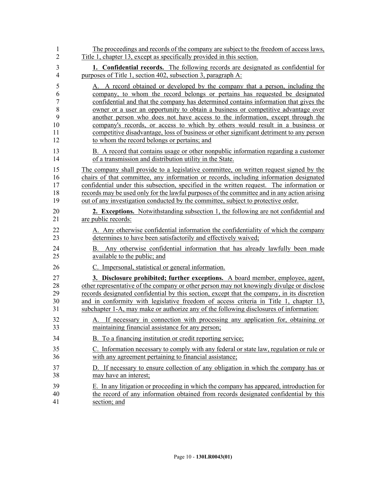| 1              | The proceedings and records of the company are subject to the freedom of access laws,                            |
|----------------|------------------------------------------------------------------------------------------------------------------|
| $\overline{2}$ | Title 1, chapter 13, except as specifically provided in this section.                                            |
| 3              | <b>1. Confidential records.</b> The following records are designated as confidential for                         |
| 4              | purposes of Title 1, section 402, subsection 3, paragraph A:                                                     |
| 5              | A. A record obtained or developed by the company that a person, including the                                    |
| 6              | company, to whom the record belongs or pertains has requested be designated                                      |
| 7              | confidential and that the company has determined contains information that gives the                             |
| 8              | owner or a user an opportunity to obtain a business or competitive advantage over                                |
| 9              | another person who does not have access to the information, except through the                                   |
| 10             | company's records, or access to which by others would result in a business or                                    |
| 11             | competitive disadvantage, loss of business or other significant detriment to any person                          |
| 12             | to whom the record belongs or pertains; and                                                                      |
| 13             | B. A record that contains usage or other nonpublic information regarding a customer                              |
| 14             | of a transmission and distribution utility in the State.                                                         |
| 15             | The company shall provide to a legislative committee, on written request signed by the                           |
| 16             | chairs of that committee, any information or records, including information designated                           |
| 17             | confidential under this subsection, specified in the written request. The information or                         |
| 18             | records may be used only for the lawful purposes of the committee and in any action arising                      |
| 19             | out of any investigation conducted by the committee, subject to protective order.                                |
| 20             | 2. Exceptions. Notwithstanding subsection 1, the following are not confidential and                              |
| 21             | are public records:                                                                                              |
| 22             | A. Any otherwise confidential information the confidentiality of which the company                               |
| 23             | determines to have been satisfactorily and effectively waived;                                                   |
| 24<br>25       | Any otherwise confidential information that has already lawfully been made<br>В.<br>available to the public; and |
| 26             | C. Impersonal, statistical or general information.                                                               |
| 27             | 3. Disclosure prohibited; further exceptions. A board member, employee, agent,                                   |
| 28             | other representative of the company or other person may not knowingly divulge or disclose                        |
| 29             | records designated confidential by this section, except that the company, in its discretion                      |
| 30             | and in conformity with legislative freedom of access criteria in Title 1, chapter 13,                            |
| 31             | subchapter 1-A, may make or authorize any of the following disclosures of information:                           |
| 32             | A. If necessary in connection with processing any application for, obtaining or                                  |
| 33             | maintaining financial assistance for any person;                                                                 |
| 34             | B. To a financing institution or credit reporting service;                                                       |
| 35             | C. Information necessary to comply with any federal or state law, regulation or rule or                          |
| 36             | with any agreement pertaining to financial assistance;                                                           |
| 37             | D. If necessary to ensure collection of any obligation in which the company has or                               |
| 38             | may have an interest;                                                                                            |
| 39             | E. In any litigation or proceeding in which the company has appeared, introduction for                           |
| 40             | the record of any information obtained from records designated confidential by this                              |
| 41             | section; and                                                                                                     |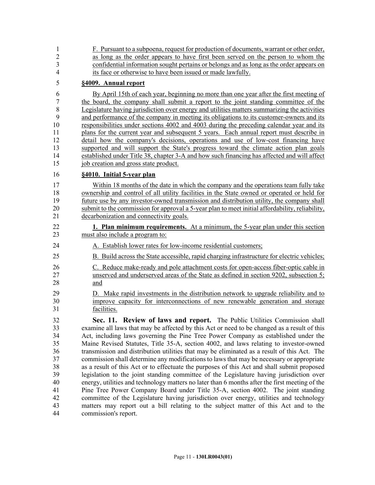| 1<br>$\overline{2}$ | F. Pursuant to a subpoena, request for production of documents, warrant or other order,<br>as long as the order appears to have first been served on the person to whom the   |
|---------------------|-------------------------------------------------------------------------------------------------------------------------------------------------------------------------------|
| 3                   | confidential information sought pertains or belongs and as long as the order appears on                                                                                       |
| $\overline{4}$      | its face or otherwise to have been issued or made lawfully.                                                                                                                   |
| 5                   | §4009. Annual report                                                                                                                                                          |
| 6                   | By April 15th of each year, beginning no more than one year after the first meeting of                                                                                        |
| 7                   | the board, the company shall submit a report to the joint standing committee of the                                                                                           |
| 8                   | Legislature having jurisdiction over energy and utilities matters summarizing the activities                                                                                  |
| 9                   | and performance of the company in meeting its obligations to its customer-owners and its                                                                                      |
| 10                  | responsibilities under sections 4002 and 4003 during the preceding calendar year and its                                                                                      |
| 11<br>12            | plans for the current year and subsequent 5 years. Each annual report must describe in<br>detail how the company's decisions, operations and use of low-cost financing have   |
| 13                  | supported and will support the State's progress toward the climate action plan goals                                                                                          |
| 14                  | established under Title 38, chapter 3-A and how such financing has affected and will affect                                                                                   |
| 15                  | job creation and gross state product.                                                                                                                                         |
| 16                  | §4010. Initial 5-year plan                                                                                                                                                    |
| 17                  | Within 18 months of the date in which the company and the operations team fully take                                                                                          |
| 18                  | ownership and control of all utility facilities in the State owned or operated or held for                                                                                    |
| 19                  | future use by any investor-owned transmission and distribution utility, the company shall                                                                                     |
| 20                  | submit to the commission for approval a 5-year plan to meet initial affordability, reliability,                                                                               |
| 21                  | decarbonization and connectivity goals.                                                                                                                                       |
| 22                  | <b>1. Plan minimum requirements.</b> At a minimum, the 5-year plan under this section                                                                                         |
| 23                  | must also include a program to:                                                                                                                                               |
| 24                  | A. Establish lower rates for low-income residential customers;                                                                                                                |
| 25                  | B. Build across the State accessible, rapid charging infrastructure for electric vehicles;                                                                                    |
| 26                  | C. Reduce make-ready and pole attachment costs for open-access fiber-optic cable in                                                                                           |
| 27                  | unserved and underserved areas of the State as defined in section 9202, subsection 5;                                                                                         |
| 28                  | and                                                                                                                                                                           |
| 29                  | D. Make rapid investments in the distribution network to upgrade reliability and to                                                                                           |
| 30                  | improve capacity for interconnections of new renewable generation and storage                                                                                                 |
| 31                  | facilities.                                                                                                                                                                   |
| 32                  | Sec. 11. Review of laws and report. The Public Utilities Commission shall                                                                                                     |
| 33                  | examine all laws that may be affected by this Act or need to be changed as a result of this                                                                                   |
| 34                  | Act, including laws governing the Pine Tree Power Company as established under the                                                                                            |
| 35                  | Maine Revised Statutes, Title 35-A, section 4002, and laws relating to investor-owned                                                                                         |
| 36                  | transmission and distribution utilities that may be eliminated as a result of this Act. The                                                                                   |
| 37                  | commission shall determine any modifications to laws that may be necessary or appropriate                                                                                     |
| 38                  | as a result of this Act or to effectuate the purposes of this Act and shall submit proposed                                                                                   |
| 39                  | legislation to the joint standing committee of the Legislature having jurisdiction over                                                                                       |
| 40                  | energy, utilities and technology matters no later than 6 months after the first meeting of the                                                                                |
| 41<br>42            | Pine Tree Power Company Board under Title 35-A, section 4002. The joint standing                                                                                              |
| 43                  | committee of the Legislature having jurisdiction over energy, utilities and technology<br>matters may report out a bill relating to the subject matter of this Act and to the |
| 44                  | commission's report.                                                                                                                                                          |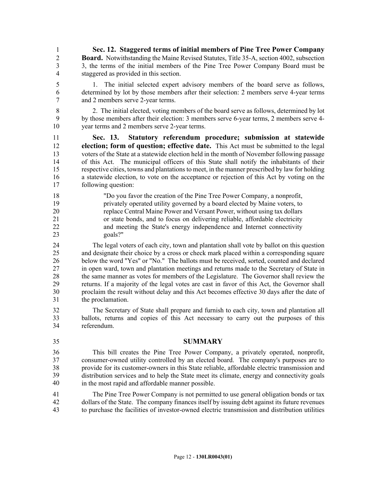1 **Sec. 12. Staggered terms of initial members of Pine Tree Power Company**  2 **Board.** Notwithstanding the Maine Revised Statutes, Title 35-A, section 4002, subsection 3 3, the terms of the initial members of the Pine Tree Power Company Board must be 4 staggered as provided in this section.

5 1. The initial selected expert advisory members of the board serve as follows, 6 determined by lot by those members after their selection: 2 members serve 4-year terms 7 and 2 members serve 2-year terms.

8 2. The initial elected, voting members of the board serve as follows, determined by lot 9 by those members after their election: 3 members serve 6-year terms, 2 members serve 4- 10 year terms and 2 members serve 2-year terms.

11 **Sec. 13. Statutory referendum procedure; submission at statewide**  12 **election; form of question; effective date.** This Act must be submitted to the legal 13 voters of the State at a statewide election held in the month of November following passage 14 of this Act. The municipal officers of this State shall notify the inhabitants of their 15 respective cities, towns and plantations to meet, in the manner prescribed by law for holding 16 a statewide election, to vote on the acceptance or rejection of this Act by voting on the 17 following question:

18 "Do you favor the creation of the Pine Tree Power Company, a nonprofit, 19 privately operated utility governed by a board elected by Maine voters, to 20 replace Central Maine Power and Versant Power, without using tax dollars 21 or state bonds, and to focus on delivering reliable, affordable electricity 22 and meeting the State's energy independence and Internet connectivity 23 goals?"

24 The legal voters of each city, town and plantation shall vote by ballot on this question 25 and designate their choice by a cross or check mark placed within a corresponding square 26 below the word "Yes" or "No." The ballots must be received, sorted, counted and declared 27 in open ward, town and plantation meetings and returns made to the Secretary of State in 28 the same manner as votes for members of the Legislature. The Governor shall review the 29 returns. If a majority of the legal votes are cast in favor of this Act, the Governor shall 30 proclaim the result without delay and this Act becomes effective 30 days after the date of 31 the proclamation.

32 The Secretary of State shall prepare and furnish to each city, town and plantation all 33 ballots, returns and copies of this Act necessary to carry out the purposes of this 34 referendum.

35 **SUMMARY**

This bill creates the Pine Tree Power Company, a privately operated, nonprofit, 37 consumer-owned utility controlled by an elected board. The company's purposes are to provide for its customer-owners in this State reliable, affordable electric transmission and distribution services and to help the State meet its climate, energy and connectivity goals in the most rapid and affordable manner possible. 36 37 38 39 40

41 The Pine Tree Power Company is not permitted to use general obligation bonds or tax 42 dollars of the State. The company finances itself by issuing debt against its future revenues 43 to purchase the facilities of investor-owned electric transmission and distribution utilities